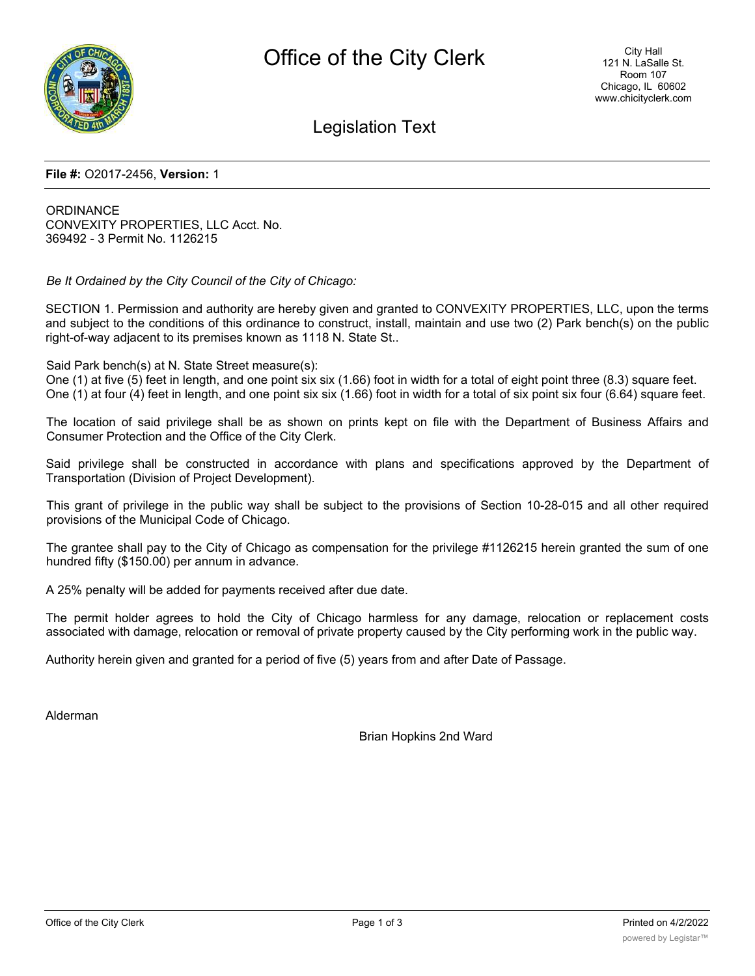

Legislation Text

#### **File #:** O2017-2456, **Version:** 1

**ORDINANCE** CONVEXITY PROPERTIES, LLC Acct. No. 369492 - 3 Permit No. 1126215

*Be It Ordained by the City Council of the City of Chicago:*

SECTION 1. Permission and authority are hereby given and granted to CONVEXITY PROPERTIES, LLC, upon the terms and subject to the conditions of this ordinance to construct, install, maintain and use two (2) Park bench(s) on the public right-of-way adjacent to its premises known as 1118 N. State St..

Said Park bench(s) at N. State Street measure(s):

One (1) at five (5) feet in length, and one point six six (1.66) foot in width for a total of eight point three (8.3) square feet. One (1) at four (4) feet in length, and one point six six (1.66) foot in width for a total of six point six four (6.64) square feet.

The location of said privilege shall be as shown on prints kept on file with the Department of Business Affairs and Consumer Protection and the Office of the City Clerk.

Said privilege shall be constructed in accordance with plans and specifications approved by the Department of Transportation (Division of Project Development).

This grant of privilege in the public way shall be subject to the provisions of Section 10-28-015 and all other required provisions of the Municipal Code of Chicago.

The grantee shall pay to the City of Chicago as compensation for the privilege #1126215 herein granted the sum of one hundred fifty (\$150.00) per annum in advance.

A 25% penalty will be added for payments received after due date.

The permit holder agrees to hold the City of Chicago harmless for any damage, relocation or replacement costs associated with damage, relocation or removal of private property caused by the City performing work in the public way.

Authority herein given and granted for a period of five (5) years from and after Date of Passage.

Alderman

Brian Hopkins 2nd Ward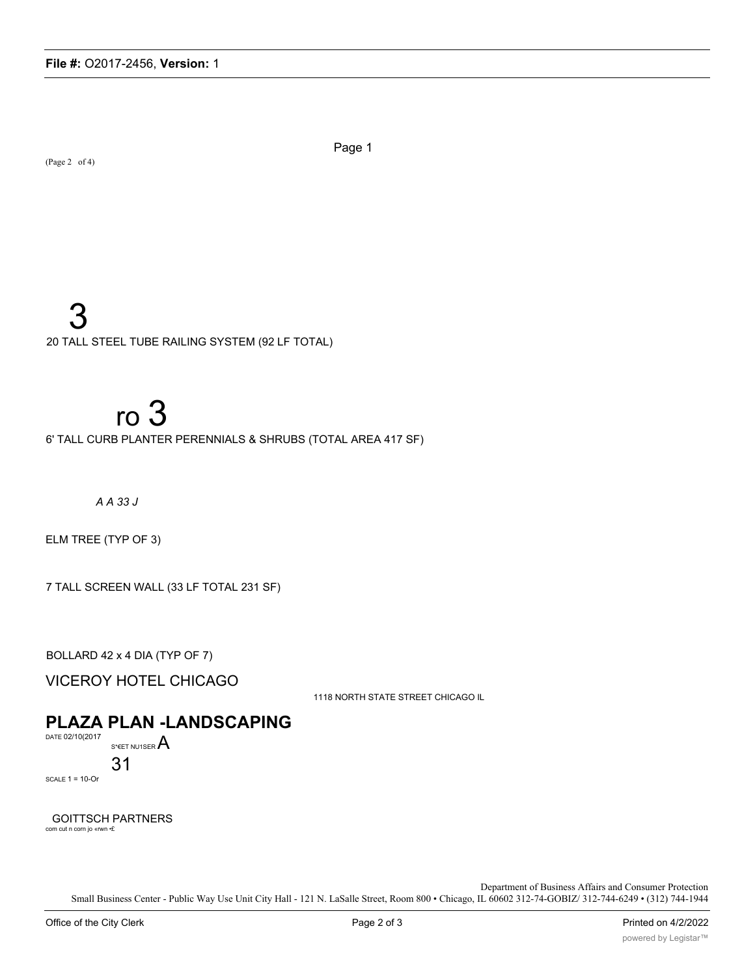(Page 2 of 4)

Page 1

20 TALL STEEL TUBE RAILING SYSTEM (92 LF TOTAL)

# $ro<sub>3</sub>$

6' TALL CURB PLANTER PERENNIALS & SHRUBS (TOTAL AREA 417 SF)

 $A$  A 33 J

ELM TREE (TYP OF 3)

7 TALL SCREEN WALL (33 LF TOTAL 231 SF)

BOLLARD 42 x 4 DIA (TYP OF 7)

**VICEROY HOTEL CHICAGO** 

1118 NORTH STATE STREET CHICAGO IL

# **PLAZA PLAN -LANDSCAPING**

DATE 02/10(2017 S\*EET NU1SER  $A$ 

31

SCALE  $1 = 10$ -Or

**GOITTSCH PARTNERS** com cut n corn jo «rwn  $\cdot \pounds$ 

Department of Business Affairs and Consumer Protection

Small Business Center - Public Way Use Unit City Hall - 121 N. LaSalle Street, Room 800 · Chicago, IL 60602 312-74-GOBIZ/312-744-6249 · (312) 744-1944